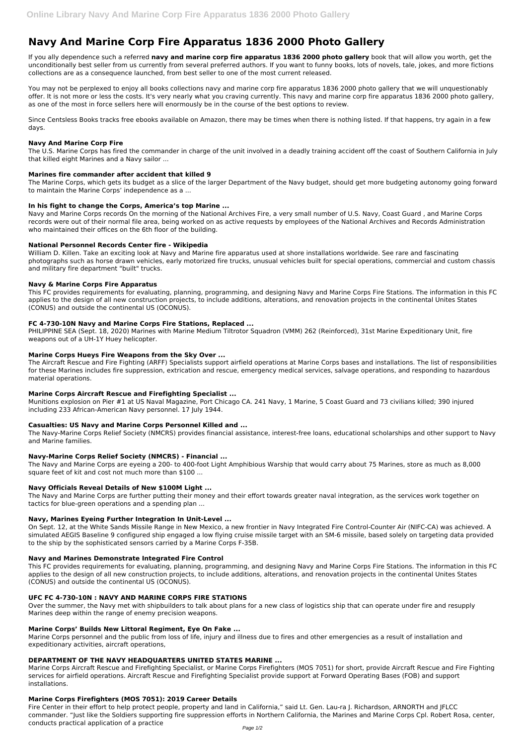# **Navy And Marine Corp Fire Apparatus 1836 2000 Photo Gallery**

If you ally dependence such a referred **navy and marine corp fire apparatus 1836 2000 photo gallery** book that will allow you worth, get the unconditionally best seller from us currently from several preferred authors. If you want to funny books, lots of novels, tale, jokes, and more fictions collections are as a consequence launched, from best seller to one of the most current released.

You may not be perplexed to enjoy all books collections navy and marine corp fire apparatus 1836 2000 photo gallery that we will unquestionably offer. It is not more or less the costs. It's very nearly what you craving currently. This navy and marine corp fire apparatus 1836 2000 photo gallery, as one of the most in force sellers here will enormously be in the course of the best options to review.

Since Centsless Books tracks free ebooks available on Amazon, there may be times when there is nothing listed. If that happens, try again in a few days.

## **Navy And Marine Corp Fire**

The U.S. Marine Corps has fired the commander in charge of the unit involved in a deadly training accident off the coast of Southern California in July that killed eight Marines and a Navy sailor ...

## **Marines fire commander after accident that killed 9**

The Marine Corps, which gets its budget as a slice of the larger Department of the Navy budget, should get more budgeting autonomy going forward to maintain the Marine Corps' independence as a ...

## **In his fight to change the Corps, America's top Marine ...**

Navy and Marine Corps records On the morning of the National Archives Fire, a very small number of U.S. Navy, Coast Guard , and Marine Corps records were out of their normal file area, being worked on as active requests by employees of the National Archives and Records Administration who maintained their offices on the 6th floor of the building.

#### **National Personnel Records Center fire - Wikipedia**

William D. Killen. Take an exciting look at Navy and Marine fire apparatus used at shore installations worldwide. See rare and fascinating photographs such as horse drawn vehicles, early motorized fire trucks, unusual vehicles built for special operations, commercial and custom chassis and military fire department "built" trucks.

#### **Navy & Marine Corps Fire Apparatus**

This FC provides requirements for evaluating, planning, programming, and designing Navy and Marine Corps Fire Stations. The information in this FC applies to the design of all new construction projects, to include additions, alterations, and renovation projects in the continental Unites States (CONUS) and outside the continental US (OCONUS).

## **FC 4-730-10N Navy and Marine Corps Fire Stations, Replaced ...**

PHILIPPINE SEA (Sept. 18, 2020) Marines with Marine Medium Tiltrotor Squadron (VMM) 262 (Reinforced), 31st Marine Expeditionary Unit, fire weapons out of a UH-1Y Huey helicopter.

## **Marine Corps Hueys Fire Weapons from the Sky Over ...**

The Aircraft Rescue and Fire Fighting (ARFF) Specialists support airfield operations at Marine Corps bases and installations. The list of responsibilities for these Marines includes fire suppression, extrication and rescue, emergency medical services, salvage operations, and responding to hazardous material operations.

## **Marine Corps Aircraft Rescue and Firefighting Specialist ...**

Munitions explosion on Pier #1 at US Naval Magazine, Port Chicago CA. 241 Navy, 1 Marine, 5 Coast Guard and 73 civilians killed; 390 injured including 233 African-American Navy personnel. 17 July 1944.

## **Casualties: US Navy and Marine Corps Personnel Killed and ...**

The Navy-Marine Corps Relief Society (NMCRS) provides financial assistance, interest-free loans, educational scholarships and other support to Navy and Marine families.

## **Navy-Marine Corps Relief Society (NMCRS) - Financial ...**

The Navy and Marine Corps are eyeing a 200- to 400-foot Light Amphibious Warship that would carry about 75 Marines, store as much as 8,000 square feet of kit and cost not much more than \$100 ...

## **Navy Officials Reveal Details of New \$100M Light ...**

The Navy and Marine Corps are further putting their money and their effort towards greater naval integration, as the services work together on tactics for blue-green operations and a spending plan ...

## **Navy, Marines Eyeing Further Integration In Unit-Level ...**

On Sept. 12, at the White Sands Missile Range in New Mexico, a new frontier in Navy Integrated Fire Control-Counter Air (NIFC-CA) was achieved. A simulated AEGIS Baseline 9 configured ship engaged a low flying cruise missile target with an SM-6 missile, based solely on targeting data provided to the ship by the sophisticated sensors carried by a Marine Corps F-35B.

#### **Navy and Marines Demonstrate Integrated Fire Control**

This FC provides requirements for evaluating, planning, programming, and designing Navy and Marine Corps Fire Stations. The information in this FC applies to the design of all new construction projects, to include additions, alterations, and renovation projects in the continental Unites States (CONUS) and outside the continental US (OCONUS).

## **UFC FC 4-730-10N : NAVY AND MARINE CORPS FIRE STATIONS**

Over the summer, the Navy met with shipbuilders to talk about plans for a new class of logistics ship that can operate under fire and resupply Marines deep within the range of enemy precision weapons.

#### **Marine Corps' Builds New Littoral Regiment, Eye On Fake ...**

Marine Corps personnel and the public from loss of life, injury and illness due to fires and other emergencies as a result of installation and expeditionary activities, aircraft operations,

## **DEPARTMENT OF THE NAVY HEADQUARTERS UNITED STATES MARINE ...**

Marine Corps Aircraft Rescue and Firefighting Specialist, or Marine Corps Firefighters (MOS 7051) for short, provide Aircraft Rescue and Fire Fighting services for airfield operations. Aircraft Rescue and Firefighting Specialist provide support at Forward Operating Bases (FOB) and support installations.

# **Marine Corps Firefighters (MOS 7051): 2019 Career Details**

Fire Center in their effort to help protect people, property and land in California," said Lt. Gen. Lau-ra J. Richardson, ARNORTH and JFLCC commander. "Just like the Soldiers supporting fire suppression efforts in Northern California, the Marines and Marine Corps Cpl. Robert Rosa, center, conducts practical application of a practice